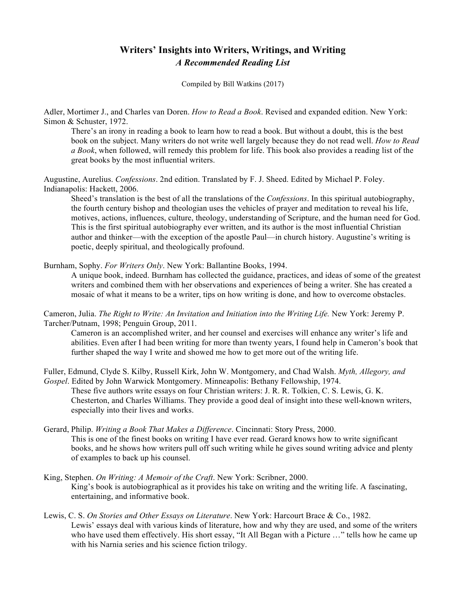## **Writers' Insights into Writers, Writings, and Writing** *A Recommended Reading List*

Compiled by Bill Watkins (2017)

Adler, Mortimer J., and Charles van Doren. *How to Read a Book*. Revised and expanded edition. New York: Simon & Schuster, 1972.

There's an irony in reading a book to learn how to read a book. But without a doubt, this is the best book on the subject. Many writers do not write well largely because they do not read well. *How to Read a Book*, when followed, will remedy this problem for life. This book also provides a reading list of the great books by the most influential writers.

Augustine, Aurelius. *Confessions*. 2nd edition. Translated by F. J. Sheed. Edited by Michael P. Foley. Indianapolis: Hackett, 2006.

Sheed's translation is the best of all the translations of the *Confessions*. In this spiritual autobiography, the fourth century bishop and theologian uses the vehicles of prayer and meditation to reveal his life, motives, actions, influences, culture, theology, understanding of Scripture, and the human need for God. This is the first spiritual autobiography ever written, and its author is the most influential Christian author and thinker—with the exception of the apostle Paul—in church history. Augustine's writing is poetic, deeply spiritual, and theologically profound.

Burnham, Sophy. *For Writers Only*. New York: Ballantine Books, 1994.

A unique book, indeed. Burnham has collected the guidance, practices, and ideas of some of the greatest writers and combined them with her observations and experiences of being a writer. She has created a mosaic of what it means to be a writer, tips on how writing is done, and how to overcome obstacles.

Cameron, Julia. *The Right to Write: An Invitation and Initiation into the Writing Life.* New York: Jeremy P. Tarcher/Putnam, 1998; Penguin Group, 2011.

Cameron is an accomplished writer, and her counsel and exercises will enhance any writer's life and abilities. Even after I had been writing for more than twenty years, I found help in Cameron's book that further shaped the way I write and showed me how to get more out of the writing life.

Fuller, Edmund, Clyde S. Kilby, Russell Kirk, John W. Montgomery, and Chad Walsh. *Myth, Allegory, and Gospel*. Edited by John Warwick Montgomery. Minneapolis: Bethany Fellowship, 1974.

These five authors write essays on four Christian writers: J. R. R. Tolkien, C. S. Lewis, G. K. Chesterton, and Charles Williams. They provide a good deal of insight into these well-known writers, especially into their lives and works.

Gerard, Philip. *Writing a Book That Makes a Difference*. Cincinnati: Story Press, 2000. This is one of the finest books on writing I have ever read. Gerard knows how to write significant books, and he shows how writers pull off such writing while he gives sound writing advice and plenty of examples to back up his counsel.

King, Stephen. *On Writing: A Memoir of the Craft*. New York: Scribner, 2000. King's book is autobiographical as it provides his take on writing and the writing life. A fascinating, entertaining, and informative book.

Lewis, C. S. *On Stories and Other Essays on Literature*. New York: Harcourt Brace & Co., 1982. Lewis' essays deal with various kinds of literature, how and why they are used, and some of the writers who have used them effectively. His short essay, "It All Began with a Picture ..." tells how he came up with his Narnia series and his science fiction trilogy.